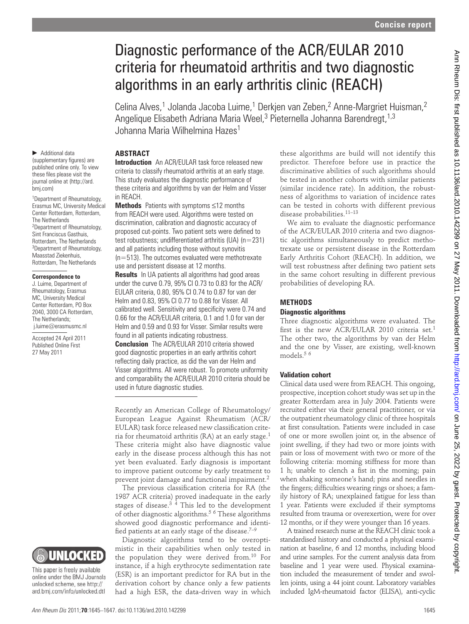# Diagnostic performance of the ACR/EULAR 2010 criteria for rheumatoid arthritis and two diagnostic algorithms in an early arthritis clinic (REACH)

Celina Alves,<sup>1</sup> Jolanda Jacoba Luime,<sup>1</sup> Derkjen van Zeben,<sup>2</sup> Anne-Margriet Huisman,<sup>2</sup> Angelique Elisabeth Adriana Maria Weel,<sup>3</sup> Pieternella Johanna Barendregt,<sup>1,3</sup> Johanna Maria Wilhelmina Hazes 1

# **ABSTRACT**

▶ Additional data (supplementary figures) are published online only. To view these files please visit the journal online at (http://ard. bmj.com)

1 Department of Rheumatology, Erasmus MC, University Medical Center Rotterdam, Rotterdam, The Netherlands 2 Department of Rheumatology, Sint Franciscus Gasthuis, Rotterdam, The Netherlands <sup>3</sup>Department of Rheumatology, Maasstad Ziekenhuis, Rotterdam, The Netherlands

#### **Correspondence to**

 J. Luime, Department of Rheumatology, Erasmus MC, University Medical Center Rotterdam, PO Box 2040, 3000 CA Rotterdam, The Netherlands; j.luime@erasmusmc.nl

Accepted 24 April 2011 Published Online First 27 May 2011



 **Introduction** An ACR/EULAR task force released new criteria to classify rheumatoid arthritis at an early stage. This study evaluates the diagnostic performance of these criteria and algorithms by van der Helm and Visser in REACH.

 **Methods** Patients with symptoms ≤12 months from REACH were used. Algorithms were tested on discrimination, calibration and diagnostic accuracy of proposed cut-points. Two patient sets were defined to test robustness; undifferentiated arthritis (UA) (n=231) and all patients including those without synovitis  $(n=513)$ . The outcomes evaluated were methotrexate use and persistent disease at 12 months.

**Results** In UA patients all algorithms had good areas under the curve 0.79, 95% CI 0.73 to 0.83 for the ACR/ EULAR criteria, 0.80, 95% CI 0.74 to 0.87 for van der Helm and 0.83, 95% CI 0.77 to 0.88 for Visser. All calibrated well. Sensitivity and specificity were 0.74 and 0.66 for the ACR/EULAR criteria, 0.1 and 1.0 for van der Helm and 0.59 and 0.93 for Visser. Similar results were found in all patients indicating robustness.

 **Conclusion** The ACR/EULAR 2010 criteria showed good diagnostic properties in an early arthritis cohort reflecting daily practice, as did the van der Helm and Visser algorithms. All were robust. To promote uniformity and comparability the ACR/EULAR 2010 criteria should be used in future diagnostic studies.

Recently an American College of Rheumatology/ European League Against Rheumatism (ACR/ EULAR) task force released new classification criteria for rheumatoid arthritis (RA) at an early stage. 1 These criteria might also have diagnostic value early in the disease process although this has not yet been evaluated. Early diagnosis is important to improve patient outcome by early treatment to prevent joint damage and functional impairment. 2

The previous classification criteria for RA (the 1987 ACR criteria) proved inadequate in the early stages of disease. $3/4$  This led to the development of other diagnostic algorithms.<sup>56</sup> These algorithms showed good diagnostic performance and identified patients at an early stage of the disease. $7-9$ 

Diagnostic algorithms tend to be overoptimistic in their capabilities when only tested in the population they were derived from.<sup>10</sup> For instance, if a high erythrocyte sedimentation rate (ESR) is an important predictor for RA but in the derivation cohort by chance only a few patients had a high ESR, the data-driven way in which

these algorithms are build will not identify this predictor. Therefore before use in practice the discriminative abilities of such algorithms should be tested in another cohorts with similar patients (similar incidence rate). In addition, the robustness of algorithms to variation of incidence rates can be tested in cohorts with different previous disease probabilities. 11–13

We aim to evaluate the diagnostic performance of the ACR/EULAR 2010 criteria and two diagnostic algorithms simultaneously to predict methotrexate use or persistent disease in the Rotterdam Early Arthritis Cohort (REACH). In addition, we will test robustness after defining two patient sets in the same cohort resulting in different previous probabilities of developing RA.

### **METHODS**

#### **Diagnostic algorithms**

Three diagnostic algorithms were evaluated. The first is the new ACR/EULAR 2010 criteria set.<sup>1</sup> The other two, the algorithms by van der Helm and the one by Visser, are existing, well-known models. 5 6

## **Validation cohort**

Clinical data used were from REACH. This ongoing, prospective, inception cohort study was set up in the greater Rotterdam area in July 2004. Patients were recruited either via their general practitioner, or via the outpatient rheumatology clinic of three hospitals at first consultation. Patients were included in case of one or more swollen joint or, in the absence of joint swelling, if they had two or more joints with pain or loss of movement with two or more of the following criteria: morning stiffness for more than 1 h; unable to clench a fist in the morning; pain when shaking someone's hand; pins and needles in the fingers; difficulties wearing rings or shoes; a family history of RA; unexplained fatigue for less than 1 year. Patients were excluded if their symptoms resulted from trauma or overexertion, were for over 12 months, or if they were younger than 16 years. **22** and **22** and **22** and **22** and **22** and **22** and **22** and **22** and **22** and **22** and **22** and **22** and **22** and **22** and **22** and **22** and **22** and **22** and **22** and **22** and **22** and **2** and **2** and **2** and **2** and

A trained research nurse at the REACH clinic took a standardised history and conducted a physical examination at baseline, 6 and 12 months, including blood and urine samples. For the current analysis data from baseline and 1 year were used. Physical examination included the measurement of tender and swollen joints, using a 44 joint count. Laboratory variables included IgM-rheumatoid factor (ELISA), anti-cyclic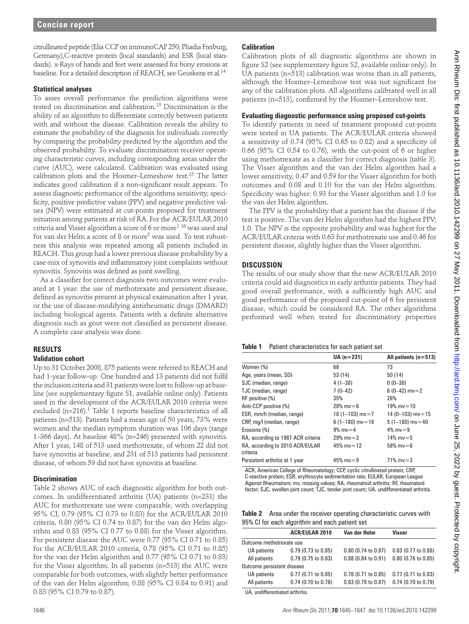citrullinated peptide (Elia CCP on immunoCAP 250; Phadia Freiburg, Germany), C-reactive protein (local standards) and ESR (local standards). x-Rays of hands and feet were assessed for bony erosions at baseline. For a detailed description of REACH, see Geuskens et al. 14

#### **Statistical analyses**

To asses overall performance the prediction algorithms were tested on discrimination and calibration. 15 Discrimination is the ability of an algorithm to differentiate correctly between patients with and without the disease. Calibration reveals the ability to estimate the probability of the diagnosis for individuals correctly by comparing the probability predicted by the algorithm and the observed probability. To evaluate discrimination receiver operating characteristic curves, including corresponding areas under the curve (AUC), were calculated. Calibration was evaluated using calibration plots and the Hosmer–Lemeshow test.<sup>15</sup> The latter indicates good calibration if a non-significant result appears. To assess diagnostic performance of the algorithms sensitivity, specificity, positive predictive values (PPV) and negative predictive values (NPV) were estimated at cut-points proposed for treatment initiation among patients at risk of RA. For the ACR/EULAR 2010 criteria and Visser algorithm a score of 6 or more $^{\rm 1\,16}$  was used and for van der Helm a score of 8 or more<sup>5</sup> was used. To test robustness this analysis was repeated among all patients included in REACH. This group had a lower previous disease probability by a case-mix of synovitis and inflammatory joint complaints without synovitis. Synovitis was defined as joint swelling. 22. Let us a computer of the local of the local of the local of a state of the local of the local of the local of the local of the local of the local of the local of the local of the local of the local of the local of th

As a classifier for correct diagnosis two outcomes were evaluated at 1 year: the use of methotrexate and persistent disease, defined as synovitis present at physical examination after 1 year, or the use of disease-modifying antirheumatic drugs (DMARD) including biological agents. Patients with a definite alternative diagnosis such as gout were not classified as persistent disease. A complete case analysis was done.

#### **RESULTS**

#### **Validation cohort**

Up to 31 October 2008, 875 patients were referred to REACH and had 1-year follow-up. One hundred and 13 patients did not fulfil the inclusion criteria and 31 patients were lost to follow-up at baseline (see supplementary figure S1, available online only). Patients used in the development of the ACR/EULAR 2010 criteria were excluded (n=216).<sup>1</sup> Table 1 reports baseline characteristics of all patients (n=513). Patients had a mean age of 50 years, 73% were women and the median symptom duration was 106 days (range 1–366 days). At baseline 48% (n=246) presented with synovitis. After 1 year, 148 of 513 used methotrexate, of whom 22 did not have synovitis at baseline, and 231 of 513 patients had persistent disease, of whom 59 did not have synovitis at baseline.

#### **Discrimination**

Table 2 shows AUC of each diagnostic algorithm for both outcomes. In undifferentiated arthritis (UA) patients (n=231) the AUC for methotrexate use were comparable, with overlapping 95% CI, 0.79 (95% CI 0.73 to 0.83) for the ACR/EULAR 2010 criteria, 0.80 (95% CI 0.74 to 0.87) for the van der Helm algorithm and 0.83 (95% CI 0.77 to 0.88) for the Visser algorithm. For persistent disease the AUC were 0.77 (95% CI 0.71 to 0.85) for the ACR/EULAR 2010 criteria, 0.78 (95% CI 0.71 to 0.85) for the van der Helm algorithm and 0.77 (95% CI 0.71 to 0.83) for the Visser algorithm. In all patients (n=513) the AUC were comparable for both outcomes, with slightly better performance of the van der Helm algorithm; 0.88 (95% CI 0.84 to 0.91) and 0.83 (95% CI 0.79 to 0.87).

#### **Calibration**

Calibration plots of all diagnostic algorithms are shown in figure S2 (see supplementary figure S2, available online only). In UA patients (n=513) calibration was worse than in all patients, although the Hosmer-Lemeshow test was not significant for any of the calibration plots. All algorithms calibrated well in all patients (n=513), confirmed by the Hosmer–Lemeshow test.

#### **Evaluating diagnostic performance using proposed cut-points**

To identify patients in need of treatment proposed cut-points were tested in UA patients. The ACR/EULAR criteria showed a sensitivity of  $0.74$  (95% CI 0.65 to 0.82) and a specificity of 0.66 (95% CI 0.54 to 0.76), with the cut-point of 6 or higher using methotrexate as a classifier for correct diagnosis (table 3). The Visser algorithm and the van der Helm algorithm had a lower sensitivity, 0.47 and 0.59 for the Visser algorithm for both outcomes and 0.08 and 0.10 for the van der Helm algorithm. Specificity was higher: 0.93 for the Visser algorithm and 1.0 for the van der Helm algorithm.

The PPV is the probability that a patient has the disease if the test is positive. The van der Helm algorithm had the highest PPV; 1.0. The NPV is the opposite probability and was highest for the ACR/EULAR criteria with 0.63 for methotrexate use and 0.46 for persistent disease, slightly higher than the Visser algorithm.

### **DISCUSSION**

The results of our study show that the new ACR/EULAR 2010 criteria could aid diagnostics in early arthritis patients. They had good overall performance, with a sufficiently high AUC and good performance of the proposed cut-point of 6 for persistent disease, which could be considered RA. The other algorithms performed well when tested for discriminatory properties

#### **Table 1** Patient characteristics for each patient set

|                                             | $UA (n = 231)$      | All patients $(n=513)$ |
|---------------------------------------------|---------------------|------------------------|
| Women (%)                                   | 68                  | 73                     |
| Age, years (mean, SD)                       | 53 (14)             | 50(14)                 |
| SJC (median, range)                         | $4(1-38)$           | $0(0-38)$              |
| TJC (median, range)                         | $7(0-42)$           | $6(0-42)$ mv = 2       |
| RF positive (%)                             | 35%                 | 26%                    |
| Anti-CCP positive (%)                       | $28\%$ mv=6         | $19\%$ mv=10           |
| ESR, mm/h (median, range)                   | 18 (1-103) $mv = 7$ | $14(0-103)$ my = 15    |
| CRP, mg/l (median, range)                   | $6(1-180)$ mv=16    | $5(1-180)$ mv = 40     |
| Erosions (%)                                | $9\%$ mv = 4        | $4\%$ mv=9             |
| RA, according to 1987 ACR criteria          | $29\%$ mv=3         | 14% mv=5               |
| RA, according to 2010 ACR/EULAR<br>criteria | 45% mv=12           | 58% $mv = 6$           |
| Persistent arthritis at 1 year              | 45% mv=9            | $71\%$ mv=3            |

 ACR, American College of Rheumatology; CCP, cyclic citrullinated protein; CRP, C-reactive protein; ESR, erythrocyte sedimentation rate; EULAR, European League Against Rheumatism; mv, missing values; RA, rheumatoid arthritis; RF, rheumatoid factor; SJC, swollen joint count; TJC, tender joint count; UA, undifferentiated arthritis.

 **Table 2** Area under the receiver operating characteristic curves with 95% CI for each algorithm and each patient set

|                            | <b>ACR/EULAR 2010</b> | Van der Helm          | <b>Visser</b>       |  |  |  |
|----------------------------|-----------------------|-----------------------|---------------------|--|--|--|
| Outcome methotrexate use   |                       |                       |                     |  |  |  |
| UA patients                | $0.79$ (0.73 to 0.85) | 0.80 (0.74 to 0.87)   | 0.83 (0.77 to 0.88) |  |  |  |
| All patients               | 0.79 (0.75 to 0.83)   | $0.88$ (0.84 to 0.91) | 0.80 (0.76 to 0.85) |  |  |  |
| Outcome persistent disease |                       |                       |                     |  |  |  |
| UA patients                | 0.77 (0.71 to 0.85)   | 0.78 (0.71 to 0.85)   | 0.77 (0.71 to 0.83) |  |  |  |
| All patients               | 0.74 (0.70 to 0.78)   | 0.83 (0.79 to 0.87)   | 0.74 (0.70 to 0.79) |  |  |  |

UA, undifferentiated arthritis.